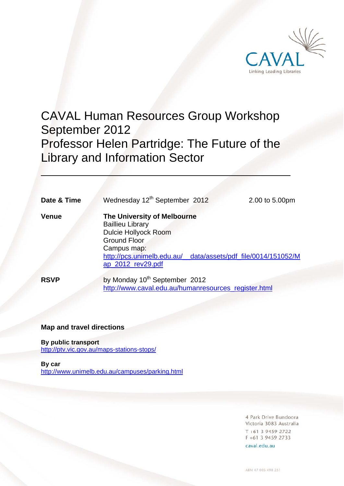

# CAVAL Human Resources Group Workshop September 2012 Professor Helen Partridge: The Future of the Library and Information Sector

**Date & Time** Wednesday 12<sup>th</sup> September 2012 2.00 to 5.00pm

 $\overline{a}$ 

**Venue The University of Melbourne**  Baillieu Library Dulcie Hollyock Room Ground Floor Campus map: [http://pcs.unimelb.edu.au/\\_\\_data/assets/pdf\\_file/0014/151052/M](http://www.pcs.unimelb.edu.au/__data/assets/pdf_file/0014/151052/Map_2012_rev29.pdf) ap\_2012\_rev29.pdf

**RSVP** by Monday 10<sup>th</sup> September 2012 http://www.caval.edu.au/humanresources\_register.html

### **Map and travel directions**

**By public transport** 

http://ptv.vic.gov.au/maps-stations-stops/

#### **By car**

http://www.unimelb.edu.au/campuses/parking.html

4 Park Drive Bundoora Victoria 3083 Australia  $T + 61$  3 9459 2722 F +61 3 9459 2733

caval.edu.au